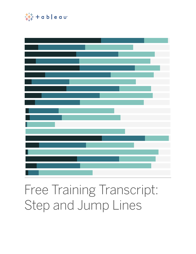

## Free Training Transcript: Step and Jump Lines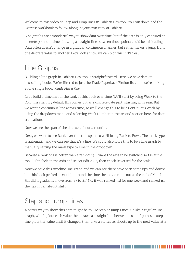Welcome to this video on Step and Jump lines in Tableau Desktop. You can download the Exercise workbook to follow along in your own copy of Tableau.

Line graphs are a wonderful way to show data over time, but if the data is only captured at discrete points in time, drawing a straight line between those points could be misleading. Data often doesn't change in a gradual, continuous manner, but rather makes a jump from one discrete value to another. Let's look at how we can plot this in Tableau.

## Line Graphs

Building a line graph in Tableau Desktop is straightforward. Here, we have data on bestselling books. We're filtered to just the Trade Paperback Fiction list, and we're looking at one single book, *Ready Player One*.

Let's build a timeline for the rank of this book over time. We'll start by bring Week to the Columns shelf. By default this comes out as a discrete date part, starting with Year. But we want a continuous line across time, so we'll change this to be a Continuous Week by using the dropdown menu and selecting Week Number in the second section here, for date truncations.

Now we see the span of the data set, about  $4$  months.

Next, we want to see Rank over this timespan, so we'll bring Rank to Rows. The mark type is automatic, and we can see that it's a line. We could also force this to be a line graph by manually setting the mark type to Line in the dropdown.

Because a rank of 1 is better than a rank of 15, I want the axis to be switched so 1 is at the top. Right click on the axis and select Edit Axis, then check Reversed for the scale.

Now we have this timeline line graph and we can see there have been some ups and downs but this book peaked at #1 right around the time the movie came out at the end of March. But did it gradually move from #3 to #1? No, it was ranked 3rd for one week and ranked 1st the next in an abrupt shift.

## Step and Jump Lines

A better way to show this data might be to use Step or Jump Lines. Unlike a regular line graph, which plots each value then draws a straight line between a set of points, a step line plots the value until it changes, then, like a staircase, shoots up to the next value at a